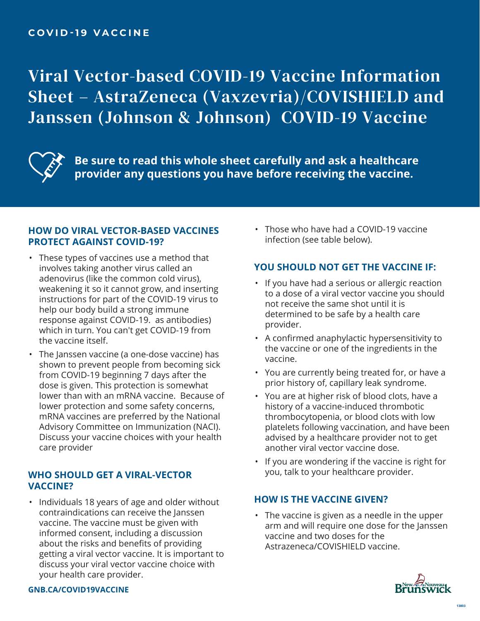Viral Vector-based COVID-19 Vaccine Information Sheet – AstraZeneca (Vaxzevria)/COVISHIELD and Janssen (Johnson & Johnson) COVID-19 Vaccine



**Be sure to read this whole sheet carefully and ask a healthcare provider any questions you have before receiving the vaccine.**

### **HOW DO VIRAL VECTOR-BASED VACCINES PROTECT AGAINST COVID-19?**

- These types of vaccines use a method that involves taking another virus called an adenovirus (like the common cold virus), weakening it so it cannot grow, and inserting instructions for part of the COVID-19 virus to help our body build a strong immune response against COVID-19. as antibodies) which in turn. You can't get COVID-19 from the vaccine itself.
- The Janssen vaccine (a one-dose vaccine) has shown to prevent people from becoming sick from COVID-19 beginning 7 days after the dose is given. This protection is somewhat lower than with an mRNA vaccine. Because of lower protection and some safety concerns, mRNA vaccines are preferred by the National Advisory Committee on Immunization (NACI). Discuss your vaccine choices with your health care provider

# **WHO SHOULD GET A VIRAL-VECTOR VACCINE?**

• Individuals 18 years of age and older without contraindications can receive the Janssen vaccine. The vaccine must be given with informed consent, including a discussion about the risks and benefits of providing getting a viral vector vaccine. It is important to discuss your viral vector vaccine choice with your health care provider.

• Those who have had a COVID-19 vaccine infection (see table below).

# **YOU SHOULD NOT GET THE VACCINE IF:**

- If you have had a serious or allergic reaction to a dose of a viral vector vaccine you should not receive the same shot until it is determined to be safe by a health care provider.
- A confirmed anaphylactic hypersensitivity to the vaccine or one of the ingredients in the vaccine.
- You are currently being treated for, or have a prior history of, capillary leak syndrome.
- You are at higher risk of blood clots, have a history of a vaccine-induced thrombotic thrombocytopenia, or blood clots with low platelets following vaccination, and have been advised by a healthcare provider not to get another viral vector vaccine dose.
- If you are wondering if the vaccine is right for you, talk to your healthcare provider.

## **HOW IS THE VACCINE GIVEN?**

• The vaccine is given as a needle in the upper arm and will require one dose for the Janssen vaccine and two doses for the Astrazeneca/COVISHIELD vaccine.



#### **GNB.CA/COVID19VACCINE**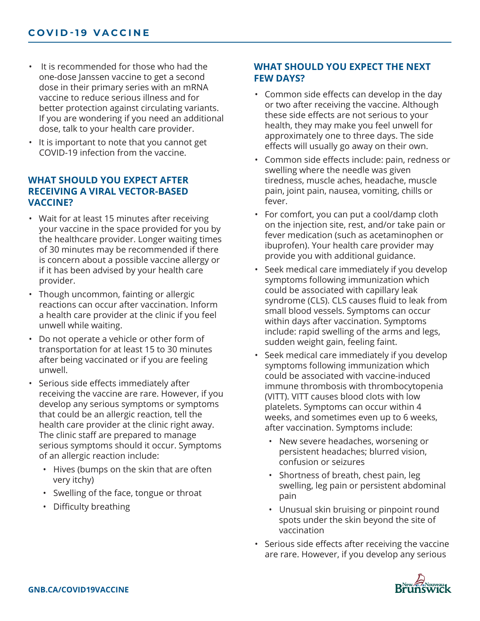- It is recommended for those who had the one-dose Janssen vaccine to get a second dose in their primary series with an mRNA vaccine to reduce serious illness and for better protection against circulating variants. If you are wondering if you need an additional dose, talk to your health care provider.
- It is important to note that you cannot get COVID-19 infection from the vaccine.

## **WHAT SHOULD YOU EXPECT AFTER RECEIVING A VIRAL VECTOR-BASED VACCINE?**

- Wait for at least 15 minutes after receiving your vaccine in the space provided for you by the healthcare provider. Longer waiting times of 30 minutes may be recommended if there is concern about a possible vaccine allergy or if it has been advised by your health care provider.
- Though uncommon, fainting or allergic reactions can occur after vaccination. Inform a health care provider at the clinic if you feel unwell while waiting.
- Do not operate a vehicle or other form of transportation for at least 15 to 30 minutes after being vaccinated or if you are feeling unwell.
- Serious side effects immediately after receiving the vaccine are rare. However, if you develop any serious symptoms or symptoms that could be an allergic reaction, tell the health care provider at the clinic right away. The clinic staff are prepared to manage serious symptoms should it occur. Symptoms of an allergic reaction include:
	- Hives (bumps on the skin that are often very itchy)
	- Swelling of the face, tongue or throat
	- Difficulty breathing

## **WHAT SHOULD YOU EXPECT THE NEXT FEW DAYS?**

- Common side effects can develop in the day or two after receiving the vaccine. Although these side effects are not serious to your health, they may make you feel unwell for approximately one to three days. The side effects will usually go away on their own.
- Common side effects include: pain, redness or swelling where the needle was given tiredness, muscle aches, headache, muscle pain, joint pain, nausea, vomiting, chills or fever.
- For comfort, you can put a cool/damp cloth on the injection site, rest, and/or take pain or fever medication (such as acetaminophen or ibuprofen). Your health care provider may provide you with additional guidance.
- Seek medical care immediately if you develop symptoms following immunization which could be associated with capillary leak syndrome (CLS). CLS causes fluid to leak from small blood vessels. Symptoms can occur within days after vaccination. Symptoms include: rapid swelling of the arms and legs, sudden weight gain, feeling faint.
- Seek medical care immediately if you develop symptoms following immunization which could be associated with vaccine-induced immune thrombosis with thrombocytopenia (VITT). VITT causes blood clots with low platelets. Symptoms can occur within 4 weeks, and sometimes even up to 6 weeks, after vaccination. Symptoms include:
	- New severe headaches, worsening or persistent headaches; blurred vision, confusion or seizures
	- Shortness of breath, chest pain, leg swelling, leg pain or persistent abdominal pain
	- Unusual skin bruising or pinpoint round spots under the skin beyond the site of vaccination
- Serious side effects after receiving the vaccine are rare. However, if you develop any serious

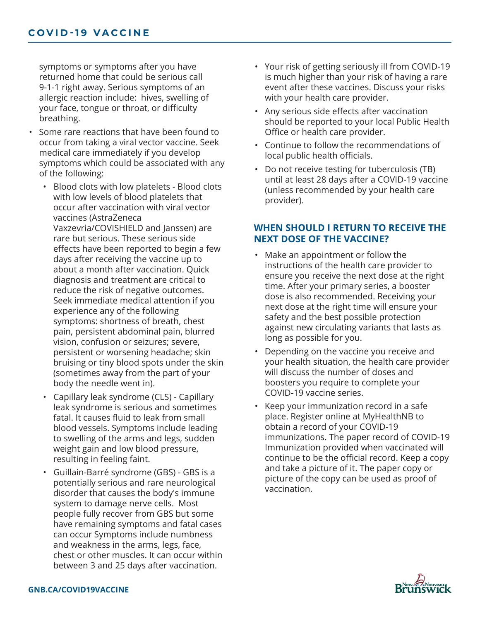symptoms or symptoms after you have returned home that could be serious call 9-1-1 right away. Serious symptoms of an allergic reaction include: hives, swelling of your face, tongue or throat, or difficulty breathing.

- Some rare reactions that have been found to occur from taking a viral vector vaccine. Seek medical care immediately if you develop symptoms which could be associated with any of the following:
	- Blood clots with low platelets Blood clots with low levels of blood platelets that occur after vaccination with viral vector vaccines (AstraZeneca Vaxzevria/COVISHIELD and Janssen) are rare but serious. These serious side effects have been reported to begin a few days after receiving the vaccine up to about a month after vaccination. Quick diagnosis and treatment are critical to reduce the risk of negative outcomes. Seek immediate medical attention if you experience any of the following symptoms: shortness of breath, chest pain, persistent abdominal pain, blurred vision, confusion or seizures; severe, persistent or worsening headache; skin bruising or tiny blood spots under the skin (sometimes away from the part of your body the needle went in).
	- Capillary leak syndrome (CLS) Capillary leak syndrome is serious and sometimes fatal. It causes fluid to leak from small blood vessels. Symptoms include leading to swelling of the arms and legs, sudden weight gain and low blood pressure, resulting in feeling faint.
	- Guillain-Barré syndrome (GBS) GBS is a potentially serious and rare neurological disorder that causes the body's immune system to damage nerve cells. Most people fully recover from GBS but some have remaining symptoms and fatal cases can occur Symptoms include numbness and weakness in the arms, legs, face, chest or other muscles. It can occur within between 3 and 25 days after vaccination.
- Your risk of getting seriously ill from COVID-19 is much higher than your risk of having a rare event after these vaccines. Discuss your risks with your health care provider.
- Any serious side effects after vaccination should be reported to your local Public Health Office or health care provider.
- Continue to follow the recommendations of local public health officials.
- Do not receive testing for tuberculosis (TB) until at least 28 days after a COVID-19 vaccine (unless recommended by your health care provider).

### **WHEN SHOULD I RETURN TO RECEIVE THE NEXT DOSE OF THE VACCINE?**

- Make an appointment or follow the instructions of the health care provider to ensure you receive the next dose at the right time. After your primary series, a booster dose is also recommended. Receiving your next dose at the right time will ensure your safety and the best possible protection against new circulating variants that lasts as long as possible for you.
- Depending on the vaccine you receive and your health situation, the health care provider will discuss the number of doses and boosters you require to complete your COVID-19 vaccine series.
- Keep your immunization record in a safe place. Register online at MyHealthNB to obtain a record of your COVID-19 immunizations. The paper record of COVID-19 Immunization provided when vaccinated will continue to be the official record. Keep a copy and take a picture of it. The paper copy or picture of the copy can be used as proof of vaccination.